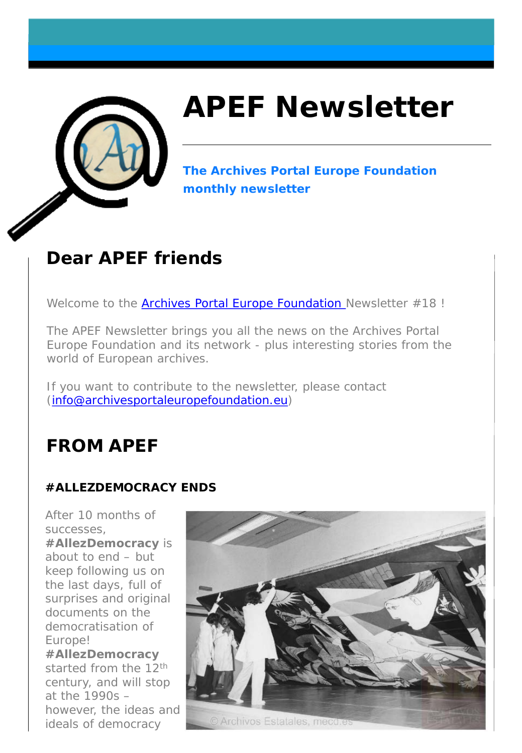

# **APEF Newsletter**

**The Archives Portal Europe Foundation monthly newsletter**

## **Dear APEF friends**

Welcome to the **Archives Portal Europe Foundation** Newsletter #18 !

The APEF Newsletter brings you all the news on the Archives Portal Europe Foundation and its network - plus interesting stories from the world of European archives.

If you want to contribute to the newsletter, please contact ([info@archivesportaleuropefoundation.eu\)](mailto:info@archivesportaleuropefoundation.eu)

## **FROM APEF**

#### **#ALLEZDEMOCRACY ENDS**

After 10 months of successes,

**#AllezDemocracy** is about to end – but keep following us on the last days, full of surprises and original documents on the democratisation of Europe!

**#AllezDemocracy** started from the 12<sup>th</sup> century, and will stop at the 1990s – however, the ideas and ideals of democracy

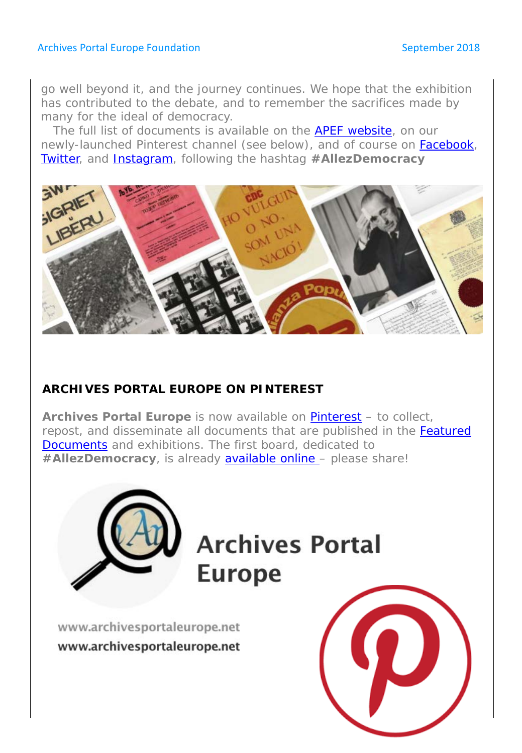go well beyond it, and the journey continues. We hope that the exhibition has contributed to the debate, and to remember the sacrifices made by many for the ideal of democracy.

The full list of documents is available on the **APEF website**, on our newly-launched Pinterest channel (see below), and of course on [Facebook,](https://www.facebook.com/archivesportaleurope.net) [Twitter,](https://twitter.com/ArchivesPortal) and [Instagram,](https://www.instagram.com/archivesportaleurope/) following the hashtag **#AllezDemocracy**



#### **ARCHIVES PORTAL EUROPE ON PINTEREST**

**Archives Portal Europe** is now available on [Pinterest](https://in.pinterest.com/archivesportaleurope/?autologin=true) – to collect, repost, and disseminate all documents that are published in the Featured Documents and exhibitions. The first board, dedicated to **#AllezDemocracy**, is already [available online](https://in.pinterest.com/archivesportaleurope/allezdemocracy/) – please share!

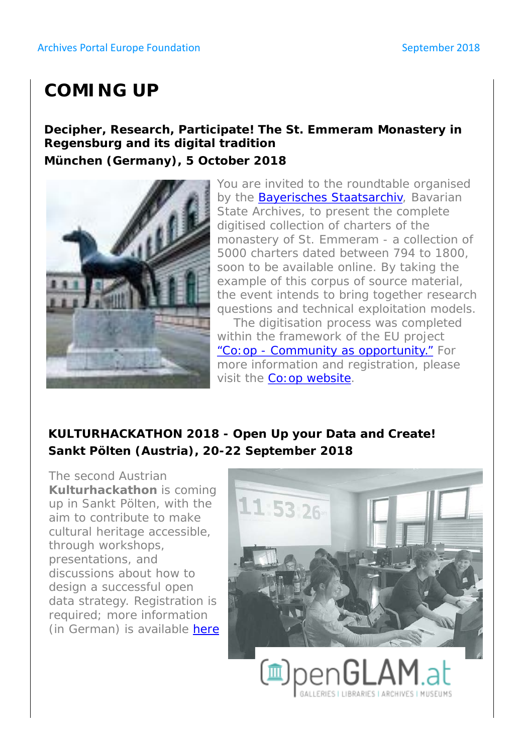## **COMING UP**

#### **Decipher, Research, Participate! The St. Emmeram Monastery in Regensburg and its digital tradition** *München (Germany), 5 October 2018*



You are invited to the roundtable organised by the [Bayerisches Staatsarchiv,](https://www.km.bayern.de/art-and-culture/archives.html) Bavarian State Archives, to present the complete digitised collection of charters of the monastery of St. Emmeram - a collection of 5000 charters dated between 794 to 1800, soon to be available online. By taking the example of this corpus of source material, the event intends to bring together research questions and technical exploitation models.

The digitisation process was completed within the framework of the EU project "Co:op - [Community as opportunity."](https://coop-project.eu/) For more information and registration, please visit the [Co:op website](https://coop-project.eu/event/decipher-research-participate-the-st-emmeram-monastery-in-regensburg-and-its-digital-tradition/).

#### **KULTURHACKATHON 2018 - Open Up your Data and Create!** *Sankt Pölten (Austria), 20-22 September 2018*

The second Austrian **Kulturhackathon** is coming up in Sankt Pölten, with the aim to contribute to make cultural heritage accessible, through workshops, presentations, and discussions about how to design a successful open data strategy. Registration is required; more information (in German) is available [here](https://www.openglam.at/%20FH%20St.%20P%C3%B6lten%20Openglam-at)

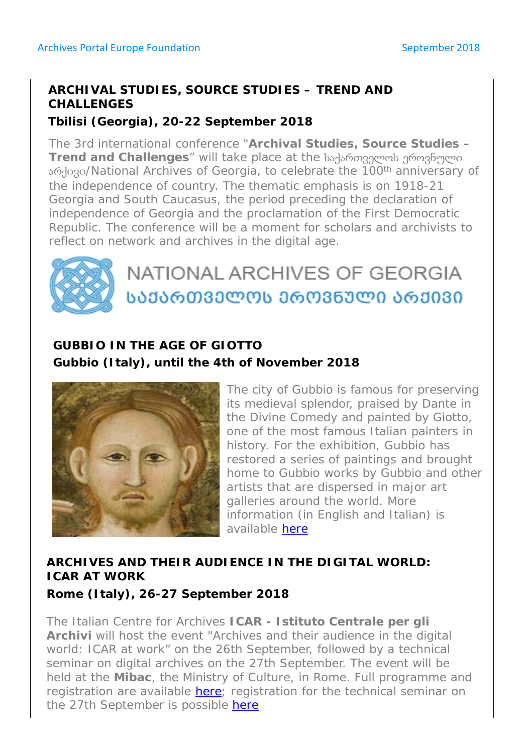#### **ARCHIVAL STUDIES, SOURCE STUDIES – TREND AND CHALLENGES**

#### *Tbilisi (Georgia), 20-22 September 2018*

The 3rd international conference "**Archival Studies, Source Studies – Trend and Challenges**" will take place at the საქართველოს ეროვნული არქივი/National Archives of Georgia, to celebrate the 100th anniversary of the independence of country. The thematic emphasis is on 1918-21 Georgia and South Caucasus, the period preceding the declaration of independence of Georgia and the proclamation of the First Democratic Republic. The conference will be a moment for scholars and archivists to reflect on network and archives in the digital age.



## NATIONAL ARCHIVES OF GEORGIA ᲡᲐᲥᲐᲠᲗᲕᲔᲚᲝᲡ ᲔᲠᲝᲕᲜᲣᲚᲘ ᲐᲠᲥᲘᲕᲘ

## **GUBBIO IN THE AGE OF GIOTTO**

#### *Gubbio (Italy), until the 4th of November 2018*



The city of Gubbio is famous for preserving its medieval splendor, praised by Dante in the Divine Comedy and painted by Giotto, one of the most famous Italian painters in history. For the exhibition, Gubbio has restored a series of paintings and brought home to Gubbio works by Gubbio and other artists that are dispersed in major art galleries around the world. More information (in English and Italian) is available [here](https://www.gubbioaltempodigiotto.it/index-en.html)

### **ARCHIVES AND THEIR AUDIENCE IN THE DIGITAL WORLD: ICAR AT WORK**

#### *Rome (Italy), 26-27 September 2018*

The Italian Centre for Archives **ICAR - Istituto Centrale per gli Archivi** will host the event "Archives and their audience in the digital world: ICAR at work" on the 26th September, followed by a technical seminar on digital archives on the 27th September. The event will be held at the **Mibac**, the Ministry of Culture, in Rome. Full programme and registration are available **here**; registration for the technical seminar on the 27th September is possible [here](https://bit.ly/2MgxgDc)